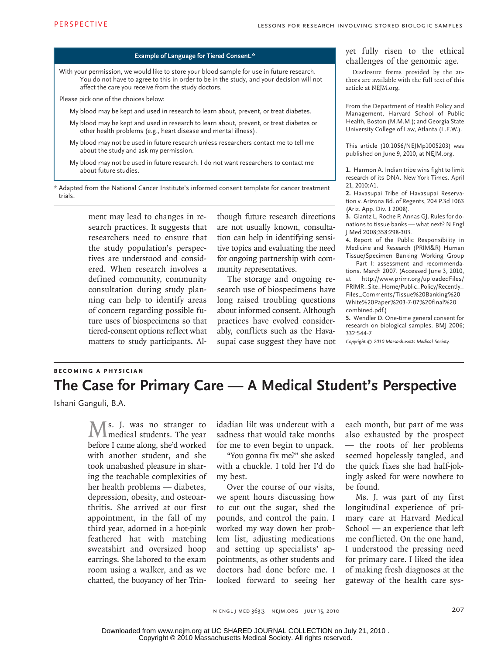## **Example of Language for Tiered Consent.\***

With your permission, we would like to store your blood sample for use in future research. You do not have to agree to this in order to be in the study, and your decision will not affect the care you receive from the study doctors.

Please pick one of the choices below:

- My blood may be kept and used in research to learn about, prevent, or treat diabetes.
- My blood may be kept and used in research to learn about, prevent, or treat diabetes or other health problems (e.g., heart disease and mental illness).
- My blood may not be used in future research unless researchers contact me to tell me about the study and ask my permission.
- My blood may not be used in future research. I do not want researchers to contact me about future studies.

\* Adapted from the National Cancer Institute's informed consent template for cancer treatment trials.

> ment may lead to changes in research practices. It suggests that researchers need to ensure that the study population's perspectives are understood and considered. When research involves a defined community, community consultation during study planning can help to identify areas of concern regarding possible future uses of biospecimens so that tiered-consent options reflect what matters to study participants. Al-

though future research directions are not usually known, consultation can help in identifying sensitive topics and evaluating the need for ongoing partnership with community representatives.

The storage and ongoing research use of biospecimens have long raised troubling questions about informed consent. Although practices have evolved considerably, conflicts such as the Havasupai case suggest they have not yet fully risen to the ethical challenges of the genomic age.

Disclosure forms provided by the authors are available with the full text of this article at NEJM.org.

From the Department of Health Policy and Management, Harvard School of Public Health, Boston (M.M.M.); and Georgia State University College of Law, Atlanta (L.E.W.).

This article (10.1056/NEJMp1005203) was published on June 9, 2010, at NEJM.org.

**1.** Harmon A. Indian tribe wins fight to limit research of its DNA. New York Times. April 21, 2010:A1.

**2.** Havasupai Tribe of Havasupai Reservation v. Arizona Bd. of Regents, 204 P.3d 1063 (Ariz. App. Div. 1 2008).

**3.** Glantz L, Roche P, Annas GJ. Rules for donations to tissue banks — what next? N Engl J Med 2008;358:298-303.

**4.** Report of the Public Responsibility in Medicine and Research (PRIM&R) Human Tissue/Specimen Banking Working Group — Part I: assessment and recommendations. March 2007. (Accessed June 3, 2010, at http://www.primr.org/uploadedFiles/ PRIMR\_Site\_Home/Public\_Policy/Recently\_ Files\_Comments/Tissue%20Banking%20 White%20Paper%203-7-07%20final%20 combined.pdf.)

**5.** Wendler D. One-time general consent for research on biological samples. BMJ 2006; 332:544-7.

*Copyright © 2010 Massachusetts Medical Society.*

## **BECOMING A PHYSICIAN The Case for Primary Care — A Medical Student's Perspective**

Ishani Ganguli, B.A.

Ms. J. was no stranger to medical students. The year before I came along, she'd worked with another student, and she took unabashed pleasure in sharing the teachable complexities of her health problems — diabetes, depression, obesity, and osteoarthritis. She arrived at our first appointment, in the fall of my third year, adorned in a hot-pink feathered hat with matching sweatshirt and oversized hoop earrings. She labored to the exam room using a walker, and as we chatted, the buoyancy of her Trinidadian lilt was undercut with a sadness that would take months for me to even begin to unpack.

"You gonna fix me?" she asked with a chuckle. I told her I'd do my best.

Over the course of our visits, we spent hours discussing how to cut out the sugar, shed the pounds, and control the pain. I worked my way down her problem list, adjusting medications and setting up specialists' appointments, as other students and doctors had done before me. I looked forward to seeing her

each month, but part of me was also exhausted by the prospect — the roots of her problems seemed hopelessly tangled, and the quick fixes she had half-jokingly asked for were nowhere to be found.

Ms. J. was part of my first longitudinal experience of primary care at Harvard Medical School — an experience that left me conflicted. On the one hand, I understood the pressing need for primary care. I liked the idea of making fresh diagnoses at the gateway of the health care sys-

Copyright © 2010 Massachusetts Medical Society. All rights reserved. Downloaded from www.nejm.org at UC SHARED JOURNAL COLLECTION on July 21, 2010 .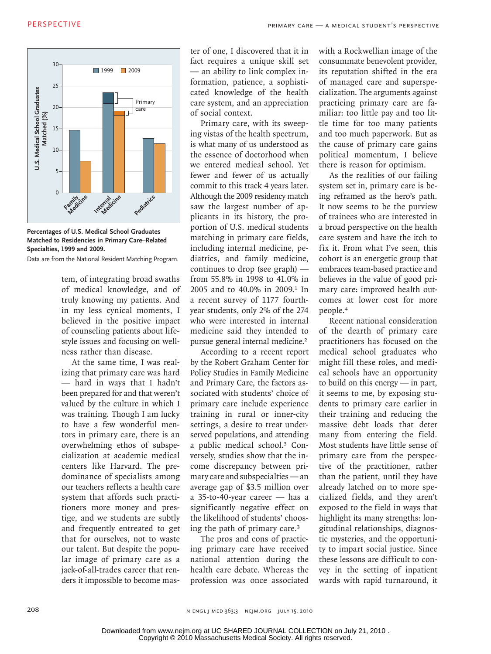

**Percentages of U.S. Medical School Graduates Matched to Residencies in Primary Care–Related Specialties, 1999 and 2009.**

Data are from the National Resident Matching Program.

tem, of integrating broad swaths of medical knowledge, and of truly knowing my patients. And in my less cynical moments, I believed in the positive impact of counseling patients about lifestyle issues and focusing on wellness rather than disease.

At the same time, I was realizing that primary care was hard — hard in ways that I hadn't been prepared for and that weren't valued by the culture in which I was training. Though I am lucky to have a few wonderful mentors in primary care, there is an overwhelming ethos of subspecialization at academic medical centers like Harvard. The predominance of specialists among our teachers reflects a health care system that affords such practitioners more money and prestige, and we students are subtly and frequently entreated to get that for ourselves, not to waste our talent. But despite the popular image of primary care as a jack-of-all-trades career that renders it impossible to become master of one, I discovered that it in fact requires a unique skill set — an ability to link complex information, patience, a sophisticated knowledge of the health care system, and an appreciation of social context.

Primary care, with its sweeping vistas of the health spectrum, is what many of us understood as the essence of doctorhood when we entered medical school. Yet fewer and fewer of us actually commit to this track 4 years later. Although the 2009 residency match saw the largest number of applicants in its history, the proportion of U.S. medical students matching in primary care fields, including internal medicine, pediatrics, and family medicine, continues to drop (see graph) from 55.8% in 1998 to 41.0% in 2005 and to 40.0% in 2009.1 In a recent survey of 1177 fourthyear students, only 2% of the 274 who were interested in internal medicine said they intended to pursue general internal medicine.<sup>2</sup>

According to a recent report by the Robert Graham Center for Policy Studies in Family Medicine and Primary Care, the factors associated with students' choice of primary care include experience training in rural or inner-city settings, a desire to treat underserved populations, and attending a public medical school.3 Conversely, studies show that the income discrepancy between primary care and subspecialties — an average gap of \$3.5 million over a 35-to-40-year career — has a significantly negative effect on the likelihood of students' choosing the path of primary care.<sup>3</sup>

The pros and cons of practicing primary care have received national attention during the health care debate. Whereas the profession was once associated with a Rockwellian image of the consummate benevolent provider, its reputation shifted in the era of managed care and superspecialization. The arguments against practicing primary care are familiar: too little pay and too little time for too many patients and too much paperwork. But as the cause of primary care gains political momentum, I believe there is reason for optimism.

As the realities of our failing system set in, primary care is being reframed as the hero's path. It now seems to be the purview of trainees who are interested in a broad perspective on the health care system and have the itch to fix it. From what I've seen, this cohort is an energetic group that embraces team-based practice and believes in the value of good primary care: improved health outcomes at lower cost for more people.<sup>4</sup>

Recent national consideration of the dearth of primary care practitioners has focused on the medical school graduates who might fill these roles, and medical schools have an opportunity to build on this energy — in part, it seems to me, by exposing students to primary care earlier in their training and reducing the massive debt loads that deter many from entering the field. Most students have little sense of primary care from the perspective of the practitioner, rather than the patient, until they have already latched on to more specialized fields, and they aren't exposed to the field in ways that highlight its many strengths: longitudinal relationships, diagnostic mysteries, and the opportunity to impart social justice. Since these lessons are difficult to convey in the setting of inpatient wards with rapid turnaround, it